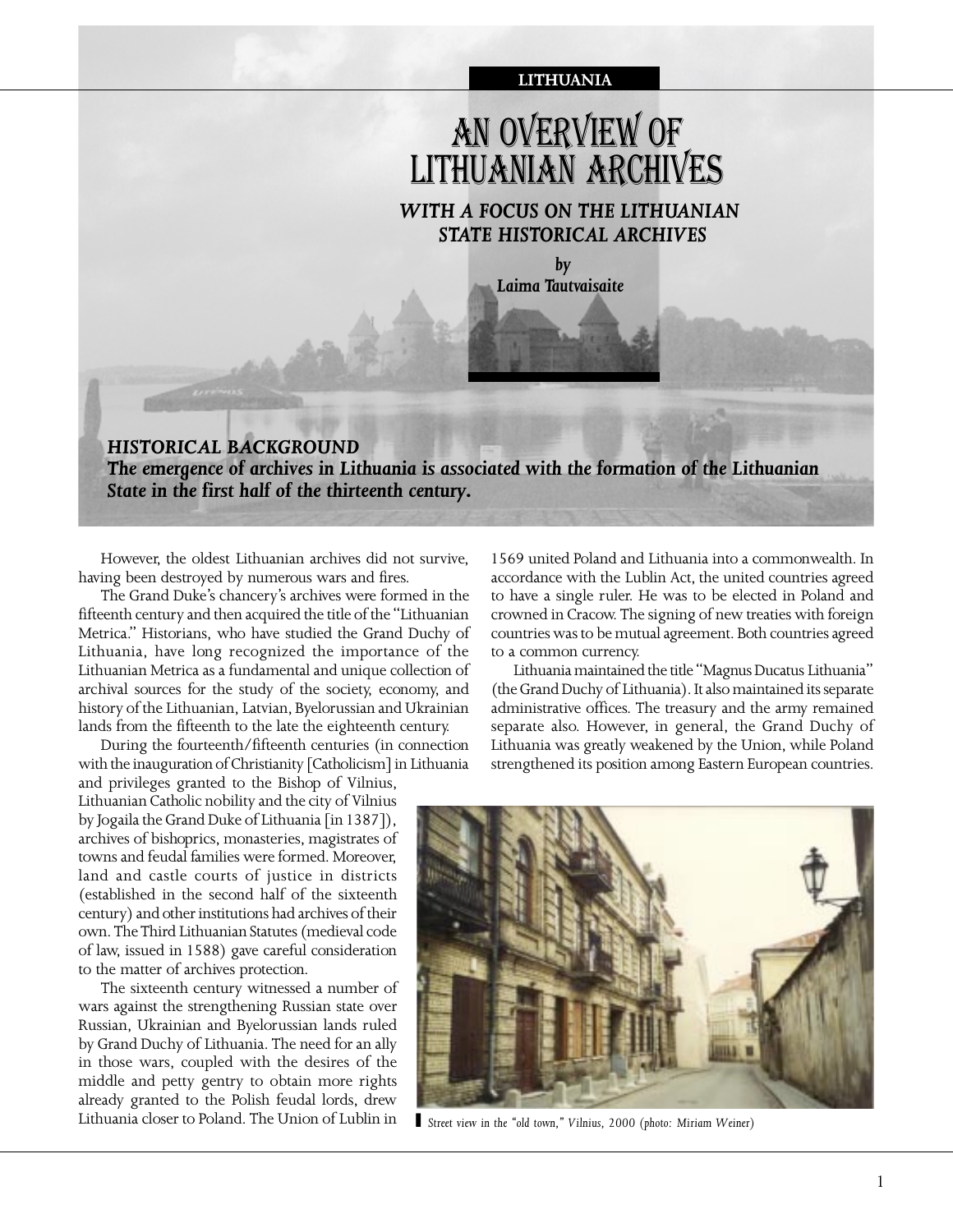

# AN OVERVIEW OF LITHUANIAN ARCHIVES

*WITH A FOCUS ON THE LITHUANIAN STATE HISTORICAL ARCHIVES*

> *by Laima Tautvaisaite*

## *HISTORICAL BACKGROUND The emergence of archives in Lithuania is associated with the formation of the Lithuanian State in the first half of the thirteenth century.*

However, the oldest Lithuanian archives did not survive, having been destroyed by numerous wars and fires.

The Grand Duke's chancery's archives were formed in the fifteenth century and then acquired the title of the "Lithuanian Metrica." Historians, who have studied the Grand Duchy of Lithuania, have long recognized the importance of the Lithuanian Metrica as a fundamental and unique collection of archival sources for the study of the society, economy, and history of the Lithuanian, Latvian, Byelorussian and Ukrainian lands from the fifteenth to the late the eighteenth century.

During the fourteenth/fifteenth centuries (in connection with the inauguration of Christianity [Catholicism] in Lithuania

and privileges granted to the Bishop of Vilnius, Lithuanian Catholic nobility and the city of Vilnius by Jogaila the Grand Duke of Lithuania [in 1387]), archives of bishoprics, monasteries, magistrates of towns and feudal families were formed. Moreover, land and castle courts of justice in districts (established in the second half of the sixteenth century) and other institutions had archives of their own. The Third Lithuanian Statutes (medieval code of law, issued in 1588) gave careful consideration to the matter of archives protection.

The sixteenth century witnessed a number of wars against the strengthening Russian state over Russian, Ukrainian and Byelorussian lands ruled by Grand Duchy of Lithuania. The need for an ally in those wars, coupled with the desires of the middle and petty gentry to obtain more rights already granted to the Polish feudal lords, drew Lithuania closer to Poland. The Union of Lublin in

1569 united Poland and Lithuania into a commonwealth. In accordance with the Lublin Act, the united countries agreed to have a single ruler. He was to be elected in Poland and crowned in Cracow. The signing of new treaties with foreign countries was to be mutual agreement. Both countries agreed to a common currency.

Lithuania maintained the title "Magnus Ducatus Lithuania" (the Grand Duchy of Lithuania). It also maintained its separate administrative offices. The treasury and the army remained separate also. However, in general, the Grand Duchy of Lithuania was greatly weakened by the Union, while Poland strengthened its position among Eastern European countries.



*` Street view in the "old town," Vilnius, 2000 (photo: Miriam Weiner)*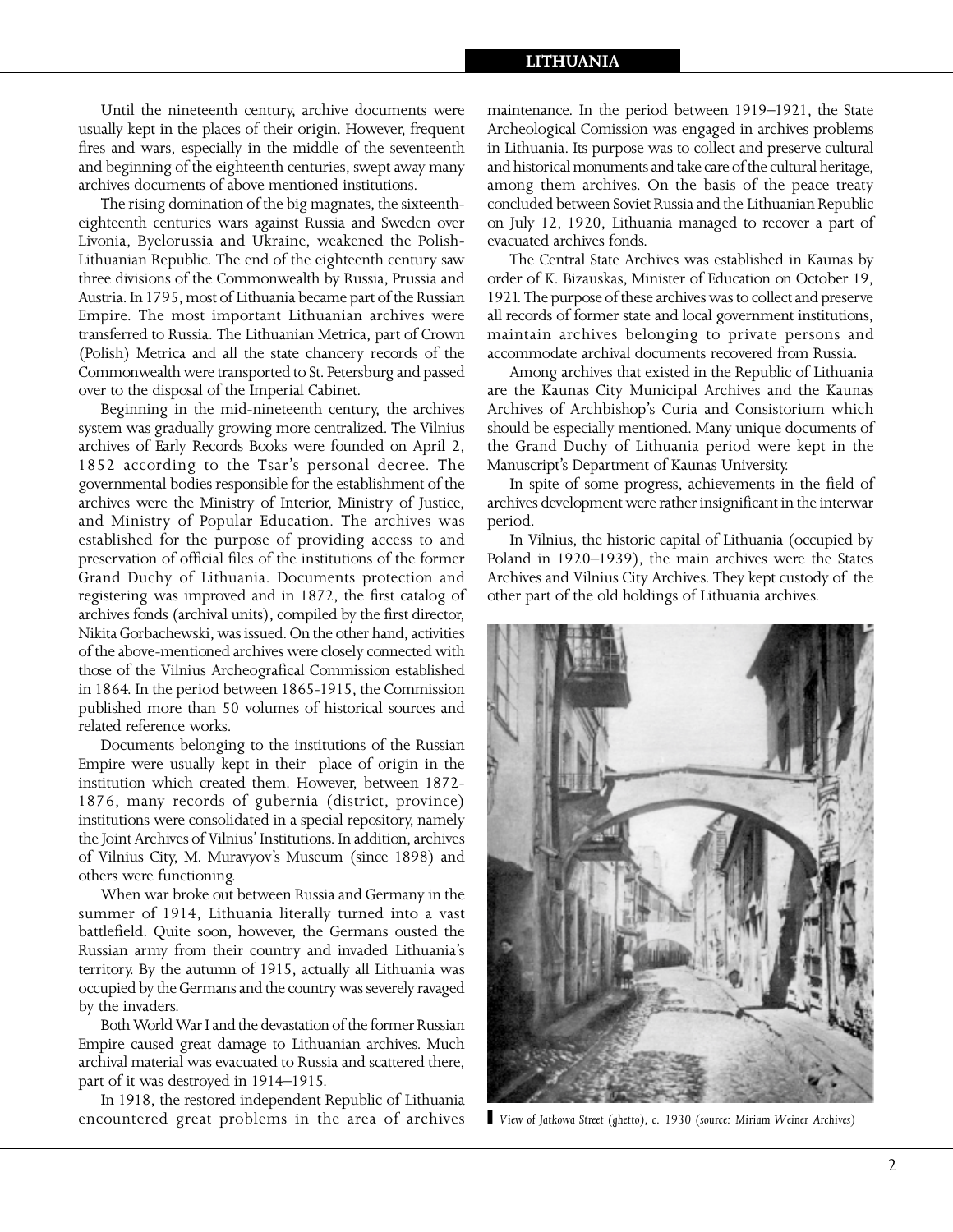#### **LITHUANIA**

Until the nineteenth century, archive documents were usually kept in the places of their origin. However, frequent fires and wars, especially in the middle of the seventeenth and beginning of the eighteenth centuries, swept away many archives documents of above mentioned institutions.

The rising domination of the big magnates, the sixteentheighteenth centuries wars against Russia and Sweden over Livonia, Byelorussia and Ukraine, weakened the Polish-Lithuanian Republic. The end of the eighteenth century saw three divisions of the Commonwealth by Russia, Prussia and Austria. In 1795, most of Lithuania became part of the Russian Empire. The most important Lithuanian archives were transferred to Russia. The Lithuanian Metrica, part of Crown (Polish) Metrica and all the state chancery records of the Commonwealth were transported to St. Petersburg and passed over to the disposal of the Imperial Cabinet.

Beginning in the mid-nineteenth century, the archives system was gradually growing more centralized. The Vilnius archives of Early Records Books were founded on April 2, 1852 according to the Tsar's personal decree. The governmental bodies responsible for the establishment of the archives were the Ministry of Interior, Ministry of Justice, and Ministry of Popular Education. The archives was established for the purpose of providing access to and preservation of official files of the institutions of the former Grand Duchy of Lithuania. Documents protection and registering was improved and in 1872, the first catalog of archives fonds (archival units), compiled by the first director, Nikita Gorbachewski, was issued. On the other hand, activities of the above-mentioned archives were closely connected with those of the Vilnius Archeografical Commission established in 1864. In the period between 1865-1915, the Commission published more than 50 volumes of historical sources and related reference works.

Documents belonging to the institutions of the Russian Empire were usually kept in their place of origin in the institution which created them. However, between 1872- 1876, many records of gubernia (district, province) institutions were consolidated in a special repository, namely the Joint Archives of Vilnius' Institutions. In addition, archives of Vilnius City, M. Muravyov's Museum (since 1898) and others were functioning.

When war broke out between Russia and Germany in the summer of 1914, Lithuania literally turned into a vast battlefield. Quite soon, however, the Germans ousted the Russian army from their country and invaded Lithuania's territory. By the autumn of 1915, actually all Lithuania was occupied by the Germans and the country was severely ravaged by the invaders.

Both World War I and the devastation of the former Russian Empire caused great damage to Lithuanian archives. Much archival material was evacuated to Russia and scattered there, part of it was destroyed in 1914–1915.

In 1918, the restored independent Republic of Lithuania encountered great problems in the area of archives maintenance. In the period between 1919–1921, the State Archeological Comission was engaged in archives problems in Lithuania. Its purpose was to collect and preserve cultural and historical monuments and take care of the cultural heritage, among them archives. On the basis of the peace treaty concluded between Soviet Russia and the Lithuanian Republic on July 12, 1920, Lithuania managed to recover a part of evacuated archives fonds.

The Central State Archives was established in Kaunas by order of K. Bizauskas, Minister of Education on October 19, 1921. The purpose of these archives was to collect and preserve all records of former state and local government institutions, maintain archives belonging to private persons and accommodate archival documents recovered from Russia.

Among archives that existed in the Republic of Lithuania are the Kaunas City Municipal Archives and the Kaunas Archives of Archbishop's Curia and Consistorium which should be especially mentioned. Many unique documents of the Grand Duchy of Lithuania period were kept in the Manuscript's Department of Kaunas University.

In spite of some progress, achievements in the field of archives development were rather insignificant in the interwar period.

In Vilnius, the historic capital of Lithuania (occupied by Poland in 1920–1939), the main archives were the States Archives and Vilnius City Archives. They kept custody of the other part of the old holdings of Lithuania archives.



*` View of Jatkowa Street (ghetto), c. 1930 (source: Miriam Weiner Archives)*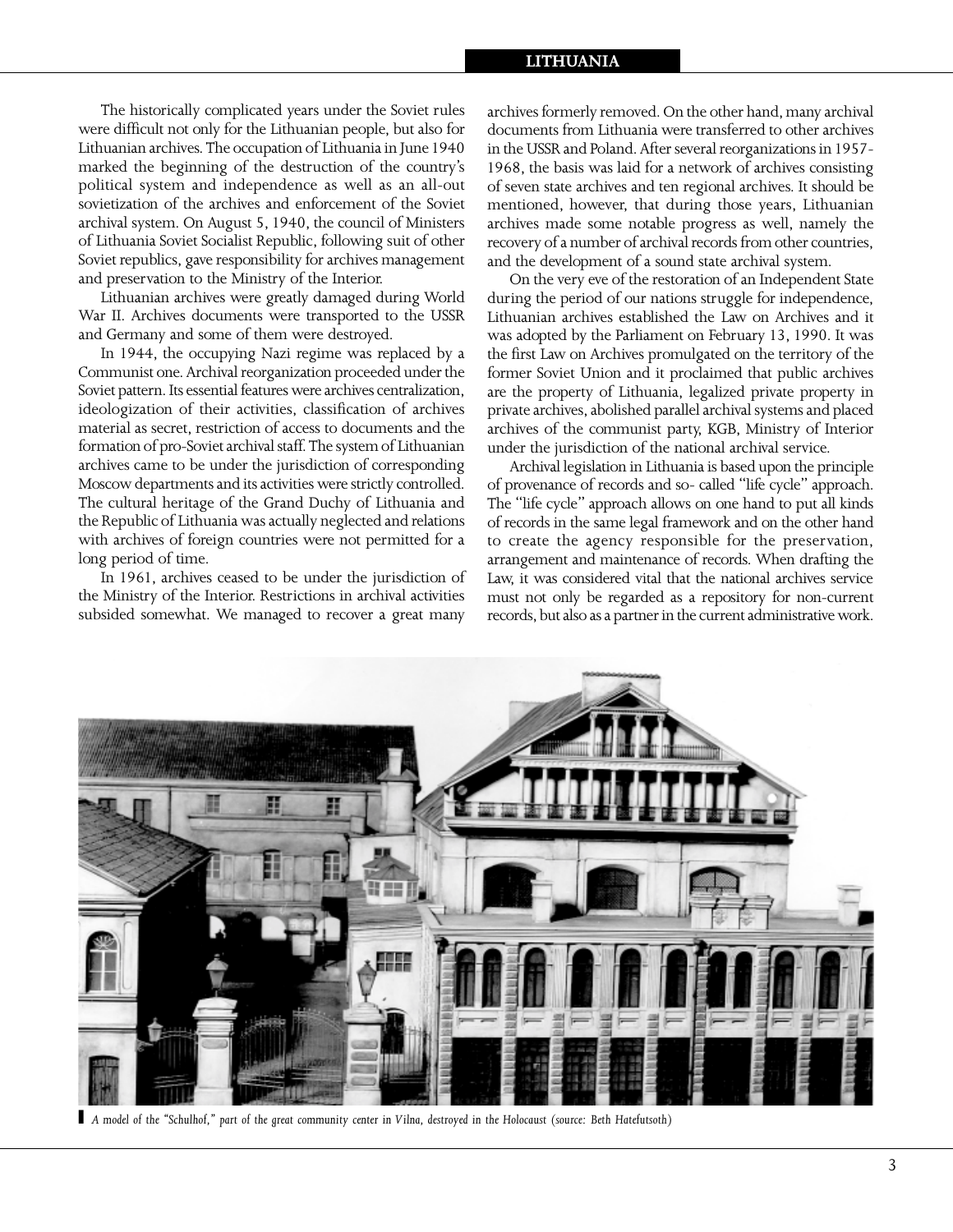### **LITHUANIA**

The historically complicated years under the Soviet rules were difficult not only for the Lithuanian people, but also for Lithuanian archives. The occupation of Lithuania in June 1940 marked the beginning of the destruction of the country's political system and independence as well as an all-out sovietization of the archives and enforcement of the Soviet archival system. On August 5, 1940, the council of Ministers of Lithuania Soviet Socialist Republic, following suit of other Soviet republics, gave responsibility for archives management and preservation to the Ministry of the Interior.

Lithuanian archives were greatly damaged during World War II. Archives documents were transported to the USSR and Germany and some of them were destroyed.

In 1944, the occupying Nazi regime was replaced by a Communist one. Archival reorganization proceeded under the Soviet pattern. Its essential features were archives centralization, ideologization of their activities, classification of archives material as secret, restriction of access to documents and the formation of pro-Soviet archival staff. The system of Lithuanian archives came to be under the jurisdiction of corresponding Moscow departments and its activities were strictly controlled. The cultural heritage of the Grand Duchy of Lithuania and the Republic of Lithuania was actually neglected and relations with archives of foreign countries were not permitted for a long period of time.

In 1961, archives ceased to be under the jurisdiction of the Ministry of the Interior. Restrictions in archival activities subsided somewhat. We managed to recover a great many

archives formerly removed. On the other hand, many archival documents from Lithuania were transferred to other archives in the USSR and Poland. After several reorganizations in 1957- 1968, the basis was laid for a network of archives consisting of seven state archives and ten regional archives. It should be mentioned, however, that during those years, Lithuanian archives made some notable progress as well, namely the recovery of a number of archival records from other countries, and the development of a sound state archival system.

On the very eve of the restoration of an Independent State during the period of our nations struggle for independence, Lithuanian archives established the Law on Archives and it was adopted by the Parliament on February 13, 1990. It was the first Law on Archives promulgated on the territory of the former Soviet Union and it proclaimed that public archives are the property of Lithuania, legalized private property in private archives, abolished parallel archival systems and placed archives of the communist party, KGB, Ministry of Interior under the jurisdiction of the national archival service.

Archival legislation in Lithuania is based upon the principle of provenance of records and so- called "life cycle" approach. The "life cycle" approach allows on one hand to put all kinds of records in the same legal framework and on the other hand to create the agency responsible for the preservation, arrangement and maintenance of records. When drafting the Law, it was considered vital that the national archives service must not only be regarded as a repository for non-current records, but also as a partner in the current administrative work.



*` A model of the "Schulhof," part of the great community center in Vilna, destroyed in the Holocaust (source: Beth Hatefutsoth)*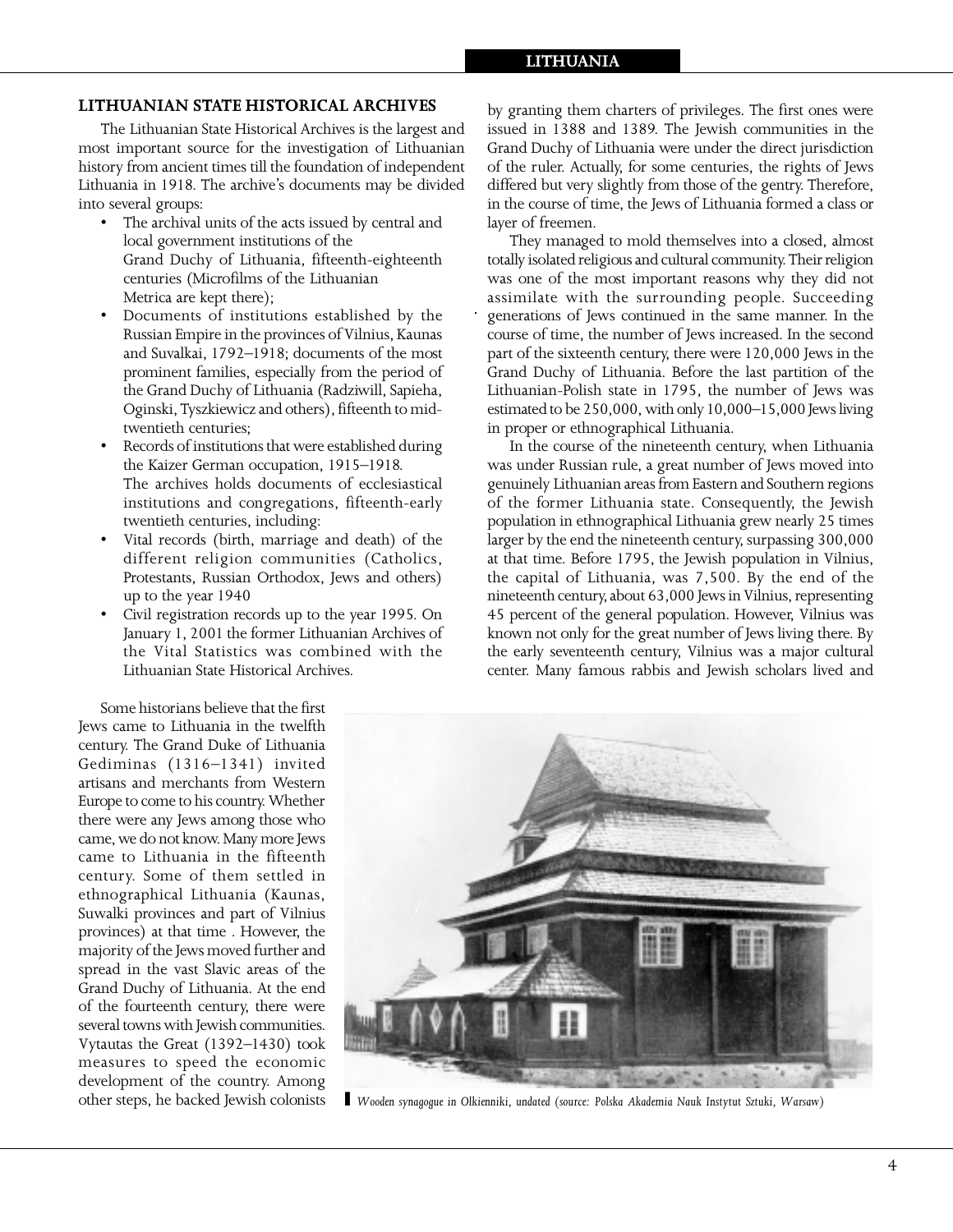1

#### **LITHUANIAN STATE HISTORICAL ARCHIVES**

The Lithuanian State Historical Archives is the largest and most important source for the investigation of Lithuanian history from ancient times till the foundation of independent Lithuania in 1918. The archive's documents may be divided into several groups:

- The archival units of the acts issued by central and local government institutions of the Grand Duchy of Lithuania, fifteenth-eighteenth centuries (Microfilms of the Lithuanian Metrica are kept there);
- Documents of institutions established by the Russian Empire in the provinces of Vilnius, Kaunas and Suvalkai, 1792–1918; documents of the most prominent families, especially from the period of the Grand Duchy of Lithuania (Radziwill, Sapieha, Oginski, Tyszkiewicz and others), fifteenth to midtwentieth centuries;
- Records of institutions that were established during the Kaizer German occupation, 1915–1918. The archives holds documents of ecclesiastical institutions and congregations, fifteenth-early twentieth centuries, including:
- Vital records (birth, marriage and death) of the different religion communities (Catholics, Protestants, Russian Orthodox, Jews and others) up to the year 1940
- Civil registration records up to the year 1995. On January 1, 2001 the former Lithuanian Archives of the Vital Statistics was combined with the Lithuanian State Historical Archives.

by granting them charters of privileges. The first ones were issued in 1388 and 1389. The Jewish communities in the Grand Duchy of Lithuania were under the direct jurisdiction of the ruler. Actually, for some centuries, the rights of Jews differed but very slightly from those of the gentry. Therefore, in the course of time, the Jews of Lithuania formed a class or layer of freemen.

They managed to mold themselves into a closed, almost totally isolated religious and cultural community. Their religion was one of the most important reasons why they did not assimilate with the surrounding people. Succeeding generations of Jews continued in the same manner. In the course of time, the number of Jews increased. In the second part of the sixteenth century, there were 120,000 Jews in the Grand Duchy of Lithuania. Before the last partition of the Lithuanian-Polish state in 1795, the number of Jews was estimated to be 250,000, with only 10,000–15,000 Jews living in proper or ethnographical Lithuania.

In the course of the nineteenth century, when Lithuania was under Russian rule, a great number of Jews moved into genuinely Lithuanian areas from Eastern and Southern regions of the former Lithuania state. Consequently, the Jewish population in ethnographical Lithuania grew nearly 25 times larger by the end the nineteenth century, surpassing 300,000 at that time. Before 1795, the Jewish population in Vilnius, the capital of Lithuania, was 7,500. By the end of the nineteenth century, about 63,000 Jews in Vilnius, representing 45 percent of the general population. However, Vilnius was known not only for the great number of Jews living there. By the early seventeenth century, Vilnius was a major cultural center. Many famous rabbis and Jewish scholars lived and

Some historians believe that the first Jews came to Lithuania in the twelfth century. The Grand Duke of Lithuania Gediminas (1316–1341) invited artisans and merchants from Western Europe to come to his country. Whether there were any Jews among those who came, we do not know. Many more Jews came to Lithuania in the fifteenth century. Some of them settled in ethnographical Lithuania (Kaunas, Suwalki provinces and part of Vilnius provinces) at that time . However, the majority of the Jews moved further and spread in the vast Slavic areas of the Grand Duchy of Lithuania. At the end of the fourteenth century, there were several towns with Jewish communities. Vytautas the Great (1392–1430) took measures to speed the economic development of the country. Among other steps, he backed Jewish colonists



*` Wooden synagogue in Olkienniki, undated (source: Polska Akademia Nauk Instytut Sztuki, Warsaw)*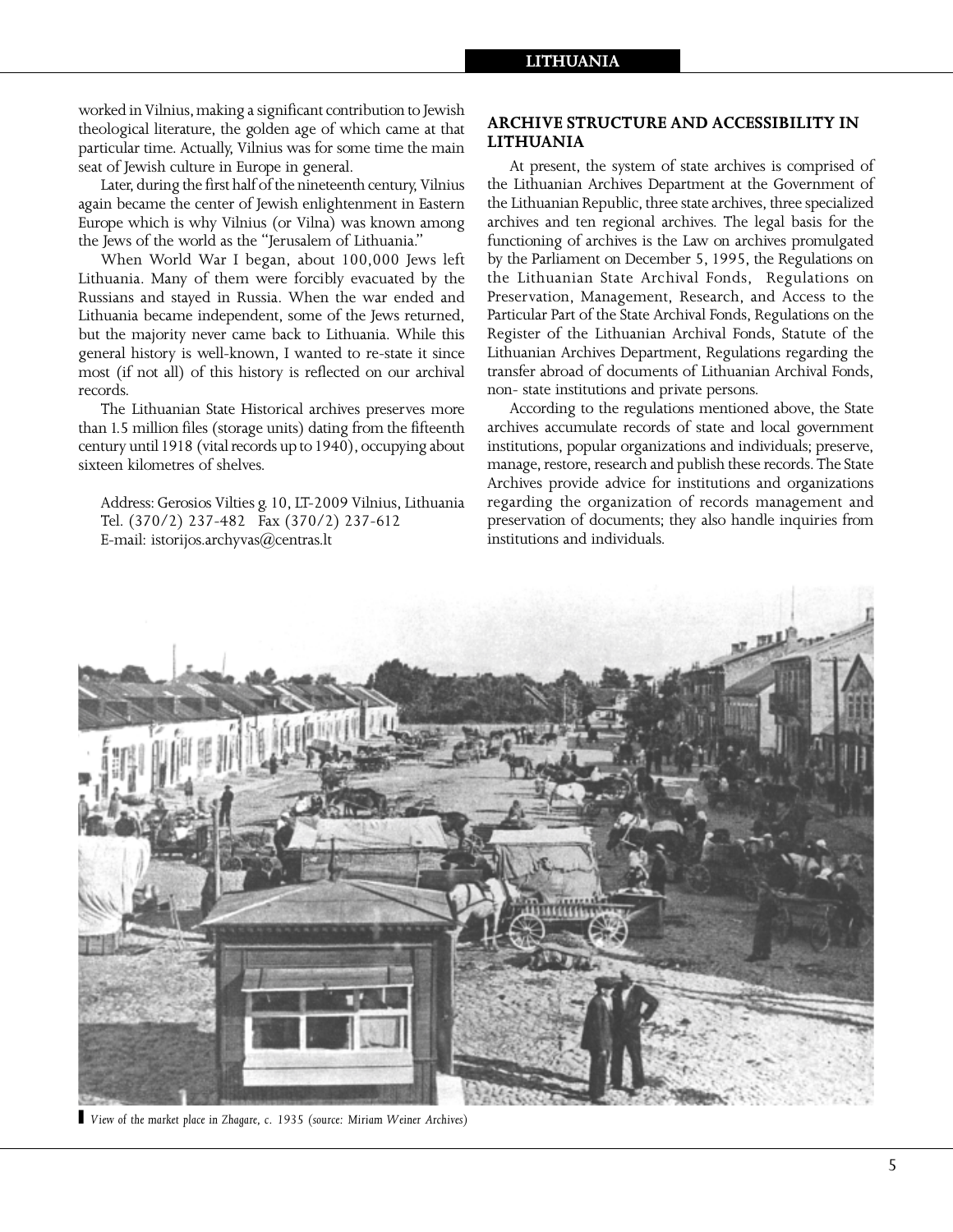worked in Vilnius, making a significant contribution to Jewish theological literature, the golden age of which came at that particular time. Actually, Vilnius was for some time the main seat of Jewish culture in Europe in general.

Later, during the first half of the nineteenth century, Vilnius again became the center of Jewish enlightenment in Eastern Europe which is why Vilnius (or Vilna) was known among the Jews of the world as the "Jerusalem of Lithuania."

When World War I began, about 100,000 Jews left Lithuania. Many of them were forcibly evacuated by the Russians and stayed in Russia. When the war ended and Lithuania became independent, some of the Jews returned, but the majority never came back to Lithuania. While this general history is well-known, I wanted to re-state it since most (if not all) of this history is reflected on our archival records.

The Lithuanian State Historical archives preserves more than 1.5 million files (storage units) dating from the fifteenth century until 1918 (vital records up to 1940), occupying about sixteen kilometres of shelves.

Address: Gerosios Vilties g. 10, LT-2009 Vilnius, Lithuania Tel. (370/2) 237-482 Fax (370/2) 237-612 E-mail: istorijos.archyvas@centras.lt

### **ARCHIVE STRUCTURE AND ACCESSIBILITY IN LITHUANIA**

At present, the system of state archives is comprised of the Lithuanian Archives Department at the Government of the Lithuanian Republic, three state archives, three specialized archives and ten regional archives. The legal basis for the functioning of archives is the Law on archives promulgated by the Parliament on December 5, 1995, the Regulations on the Lithuanian State Archival Fonds, Regulations on Preservation, Management, Research, and Access to the Particular Part of the State Archival Fonds, Regulations on the Register of the Lithuanian Archival Fonds, Statute of the Lithuanian Archives Department, Regulations regarding the transfer abroad of documents of Lithuanian Archival Fonds, non- state institutions and private persons.

According to the regulations mentioned above, the State archives accumulate records of state and local government institutions, popular organizations and individuals; preserve, manage, restore, research and publish these records. The State Archives provide advice for institutions and organizations regarding the organization of records management and preservation of documents; they also handle inquiries from institutions and individuals.



*` View of the market place in Zhagare, c. 1935 (source: Miriam Weiner Archives)*